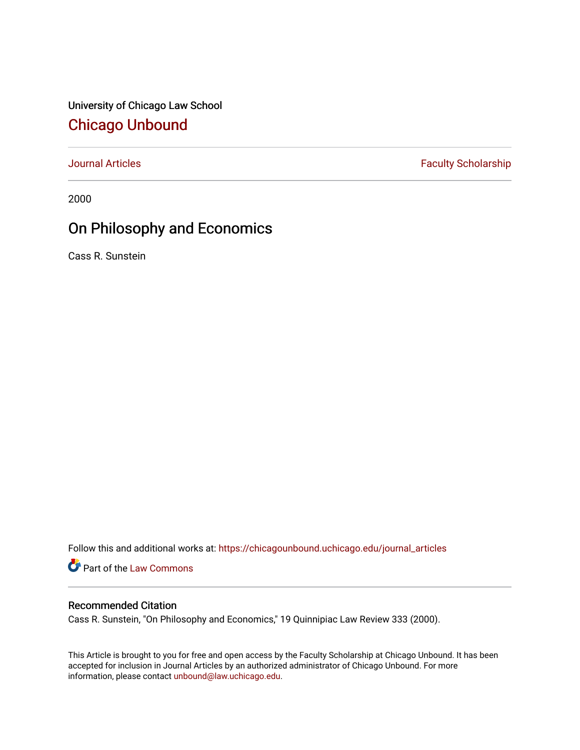University of Chicago Law School [Chicago Unbound](https://chicagounbound.uchicago.edu/)

[Journal Articles](https://chicagounbound.uchicago.edu/journal_articles) **Faculty Scholarship Faculty Scholarship** 

2000

# On Philosophy and Economics

Cass R. Sunstein

Follow this and additional works at: [https://chicagounbound.uchicago.edu/journal\\_articles](https://chicagounbound.uchicago.edu/journal_articles?utm_source=chicagounbound.uchicago.edu%2Fjournal_articles%2F8487&utm_medium=PDF&utm_campaign=PDFCoverPages) 

Part of the [Law Commons](http://network.bepress.com/hgg/discipline/578?utm_source=chicagounbound.uchicago.edu%2Fjournal_articles%2F8487&utm_medium=PDF&utm_campaign=PDFCoverPages)

# Recommended Citation

Cass R. Sunstein, "On Philosophy and Economics," 19 Quinnipiac Law Review 333 (2000).

This Article is brought to you for free and open access by the Faculty Scholarship at Chicago Unbound. It has been accepted for inclusion in Journal Articles by an authorized administrator of Chicago Unbound. For more information, please contact [unbound@law.uchicago.edu](mailto:unbound@law.uchicago.edu).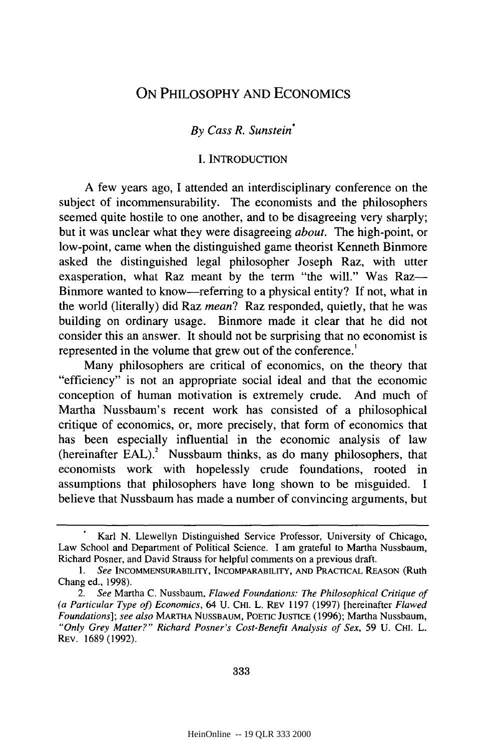# ON PHILOSOPHY AND ECONOMICS

### *By Cass R. Sunstein\**

#### I. INTRODUCTION

A few years ago, I attended an interdisciplinary conference on the subject of incommensurability. The economists and the philosophers seemed quite hostile to one another, and to be disagreeing very sharply; but it was unclear what they were disagreeing *about.* The high-point, or low-point, came when the distinguished game theorist Kenneth Binmore asked the distinguished legal philosopher Joseph Raz, with utter exasperation, what Raz meant by the term "the will." Was Raz— Binmore wanted to know-referring to a physical entity? If not, what in the world (literally) did Raz *mean?* Raz responded, quietly, that he was building on ordinary usage. Binmore made it clear that he did not consider this an answer. It should not be surprising that no economist is represented in the volume that grew out of the conference.'

Many philosophers are critical of economics, on the theory that "efficiency" is not an appropriate social ideal and that the economic conception of human motivation is extremely crude. And much of Martha Nussbaum's recent work has consisted of a philosophical critique of economics, or, more precisely, that form of economics that has been especially influential in the economic analysis of law (hereinafter EAL) **.** Nussbaum thinks, as do many philosophers, that economists work with hopelessly crude foundations, rooted in assumptions that philosophers have long shown to be misguided. I believe that Nussbaum has made a number of convincing arguments, but

Karl N. Llewellyn Distinguished Service Professor, University of Chicago, Law School and Department of Political Science. I am grateful to Martha Nussbaum, Richard Posner, and David Strauss for helpful comments on a previous draft.

*<sup>1.</sup> See* INCOMMENSURABILITY, INCOMPARABILITY, AND PRACTICAL REASON (Ruth Chang ed., 1998).

*<sup>2.</sup> See* Martha C. Nussbaum, *Flawed Foundations: The Philosophical Critique of (a Particular Type of) Economics,* 64 U. CHI. L. REv 1197 (1997) [hereinafter *Flawed Foundations]; see also* MARTHA NUSSBAUM, POETIC JUSTICE (1996); Martha Nussbaum, *"Only Grey Matter?" Richard Posner's Cost-Benefit Analysis of Sex,* 59 U. CHI. L. REv. 1689 (1992).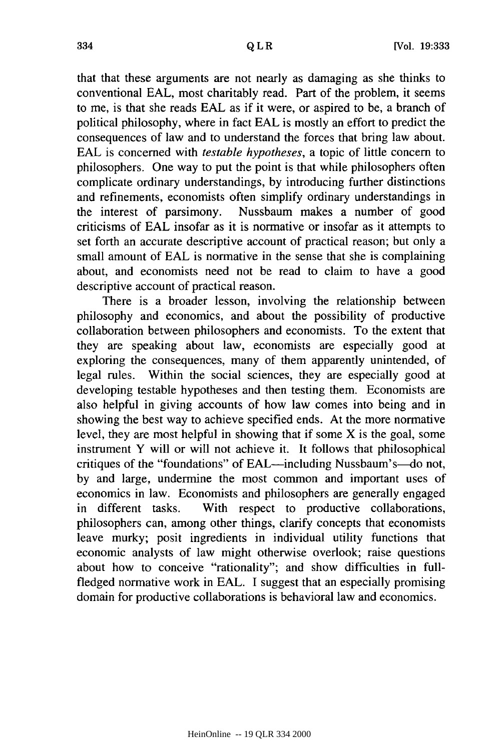that that these arguments are not nearly as damaging as she thinks to conventional EAL, most charitably read. Part of the problem, it seems to me, is that she reads EAL as if it were, or aspired to be, a branch of political philosophy, where in fact EAL is mostly an effort to predict the consequences of law and to understand the forces that bring law about. EAL is concerned with *testable hypotheses,* a topic of little concern to philosophers. One way to put the point is that while philosophers often complicate ordinary understandings, by introducing further distinctions and refinements, economists often simplify ordinary understandings in the interest of parsimony. Nussbaum makes a number of good criticisms of EAL insofar as it is normative or insofar as it attempts to set forth an accurate descriptive account of practical reason; but only a small amount of EAL is normative in the sense that she is complaining about, and economists need not be read to claim to have a good descriptive account of practical reason.

There is a broader lesson, involving the relationship between philosophy and economics, and about the possibility of productive collaboration between philosophers and economists. To the extent that they are speaking about law, economists are especially good at exploring the consequences, many of them apparently unintended, of legal rules. Within the social sciences, they are especially good at developing testable hypotheses and then testing them. Economists are also helpful in giving accounts of how law comes into being and in showing the best way to achieve specified ends. At the more normative level, they are most helpful in showing that if some X is the goal, some instrument Y will or will not achieve it. It follows that philosophical critiques of the "foundations" of EAL-including Nussbaum's-do not, by and large, undermine the most common and important uses of economics in law. Economists and philosophers are generally engaged in different tasks. With respect to productive collaborations, philosophers can, among other things, clarify concepts that economists leave murky; posit ingredients in individual utility functions that economic analysts of law might otherwise overlook; raise questions about how to conceive "rationality"; and show difficulties in fullfledged normative work in EAL. I suggest that an especially promising domain for productive collaborations is behavioral law and economics.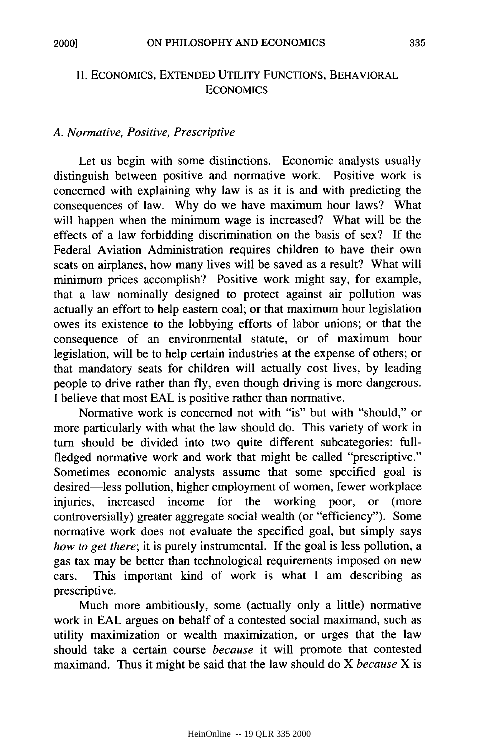## **II.** ECONOMICS, **EXTENDED** UTILITY **FUNCTIONS,** BEHAVIORAL **ECONOMICS**

## *A. Normative, Positive, Prescriptive*

Let us begin with some distinctions. Economic analysts usually distinguish between positive and normative work. Positive work is concerned with explaining why law is as it is and with predicting the consequences of law. Why do we have maximum hour laws? What will happen when the minimum wage is increased? What will be the effects of a law forbidding discrimination on the basis of sex? If the Federal Aviation Administration requires children to have their own seats on airplanes, how many lives will be saved as a result? What will minimum prices accomplish? Positive work might say, for example, that a law nominally designed to protect against air pollution was actually an effort to help eastern coal; or that maximum hour legislation owes its existence to the lobbying efforts of labor unions; or that the consequence of an environmental statute, or of maximum hour legislation, will be to help certain industries at the expense of others; or that mandatory seats for children will actually cost lives, by leading people to drive rather than fly, even though driving is more dangerous. I believe that most EAL is positive rather than normative.

Normative work is concerned not with "is" but with "should," or more particularly with what the law should do. This variety of work in turn should be divided into two quite different subcategories: fullfledged normative work and work that might be called "prescriptive." Sometimes economic analysts assume that some specified goal is desired—less pollution, higher employment of women, fewer workplace<br>injuries, increased income for the working poor, or (more injuries, increased income for the controversially) greater aggregate social wealth (or "efficiency"). Some normative work does not evaluate the specified goal, but simply says *how to get there;* it is purely instrumental. If the goal is less pollution, a gas tax may be better than technological requirements imposed on new cars. This important kind of work is what I am describing as prescriptive.

Much more ambitiously, some (actually only a little) normative work in EAL argues on behalf of a contested social maximand, such as utility maximization or wealth maximization, or urges that the law should take a certain course *because* it will promote that contested maximand. Thus it might be said that the law should do X *because* X is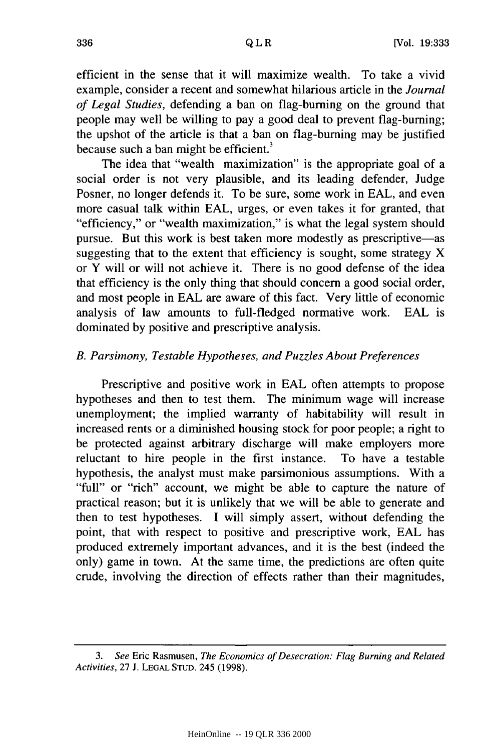efficient in the sense that it will maximize wealth. To take a vivid example, consider a recent and somewhat hilarious article in the *Journal of Legal Studies,* defending a ban on flag-burning on the ground that people may well be willing to pay a good deal to prevent flag-burning; the upshot of the article is that a ban on flag-burning may be justified because such a ban might be efficient.<sup>3</sup>

The idea that "wealth maximization" is the appropriate goal of a social order is not very plausible, and its leading defender, Judge Posner, no longer defends it. To be sure, some work in EAL, and even more casual talk within EAL, urges, or even takes it for granted, that "efficiency," or "wealth maximization," is what the legal system should pursue. But this work is best taken more modestly as prescriptive—as suggesting that to the extent that efficiency is sought, some strategy X or Y will or will not achieve it. There is no good defense of the idea that efficiency is the only thing that should concern a good social order, and most people in EAL are aware of this fact. Very little of economic analysis of law amounts to full-fledged normative work. EAL is dominated by positive and prescriptive analysis.

## *B. Parsimony, Testable Hypotheses, and Puzzles About Preferences*

Prescriptive and positive work in EAL often attempts to propose hypotheses and then to test them. The minimum wage will increase unemployment; the implied warranty of habitability will result in increased rents or a diminished housing stock for poor people; a right to be protected against arbitrary discharge will make employers more reluctant to hire people in the first instance. To have a testable hypothesis, the analyst must make parsimonious assumptions. With a "full" or "rich" account, we might be able to capture the nature of practical reason; but it is unlikely that we will be able to generate and then to test hypotheses. I will simply assert, without defending the point, that with respect to positive and prescriptive work, EAL has produced extremely important advances, and it is the best (indeed the only) game in town. At the same time, the predictions are often quite crude, involving the direction of effects rather than their magnitudes,

*<sup>3.</sup> See* Eric Rasmusen, *The Economics of Desecration: Flag Burning and Related Activities,* 27 J. **LEGAL STUD.** 245 (1998).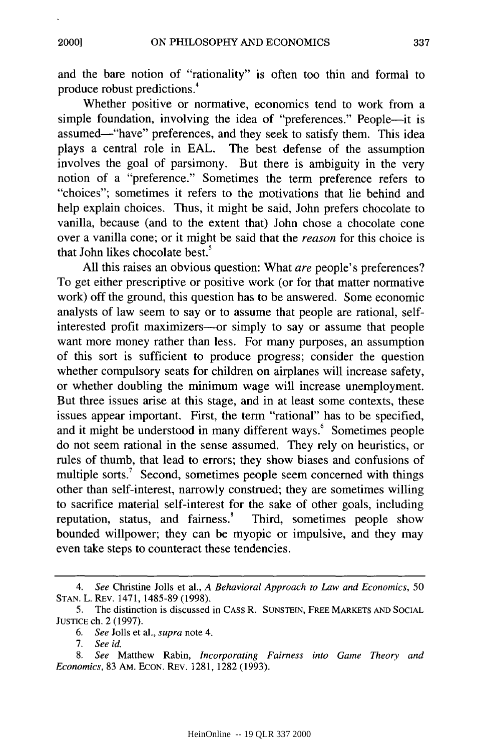and the bare notion of "rationality" is often too thin and formal to produce robust predictions.4

Whether positive or normative, economics tend to work from a simple foundation, involving the idea of "preferences." People-it is assumed-"have" preferences, and they seek to satisfy them. This idea plays a central role in EAL. The best defense of the assumption involves the goal of parsimony. But there is ambiguity in the very notion of a "preference." Sometimes the term preference refers to "choices"; sometimes it refers to the motivations that lie behind and help explain choices. Thus, it might be said, John prefers chocolate to vanilla, because (and to the extent that) John chose a chocolate cone over a vanilla cone; or it might be said that the *reason* for this choice is that John likes chocolate best.<sup>5</sup>

All this raises an obvious question: What *are* people's preferences? To get either prescriptive or positive work (or for that matter normative work) off the ground, this question has to be answered. Some economic analysts of law seem to say or to assume that people are rational, selfinterested profit maximizers-or simply to say or assume that people want more money rather than less. For many purposes, an assumption of this sort is sufficient to produce progress; consider the question whether compulsory seats for children on airplanes will increase safety, or whether doubling the minimum wage will increase unemployment. But three issues arise at this stage, and in at least some contexts, these issues appear important. First, the term "rational" has to be specified, and it might be understood in many different ways.<sup>6</sup> Sometimes people do not seem rational in the sense assumed. They rely on heuristics, or rules of thumb, that lead to errors; they show biases and confusions of multiple sorts.<sup>7</sup> Second, sometimes people seem concerned with things other than self-interest, narrowly construed; they are sometimes willing to sacrifice material self-interest for the sake of other goals, including reputation, status, and fairness.' Third, sometimes people show bounded willpower; they can be myopic or impulsive, and they may even take steps to counteract these tendencies.

*<sup>4.</sup> See* Christine Jolls et al., *A Behavioral Approach to Law and Economics,* 50 STAN. L. REv. 1471, 1485-89 (1998).

<sup>5.</sup> The distinction is discussed in CASS R. SUNSTEIN, FREE MARKETS AND SOCIAL JUSTICE ch. 2 (1997).

*<sup>6.</sup> See* Jolls et al., *supra* note 4.

*<sup>7.</sup> See id.*

*<sup>8.</sup> See* Matthew Rabin, *Incorporating Fairness into Game Theory and Economics,* 83 AM. ECON. REv. 1281, 1282 (1993).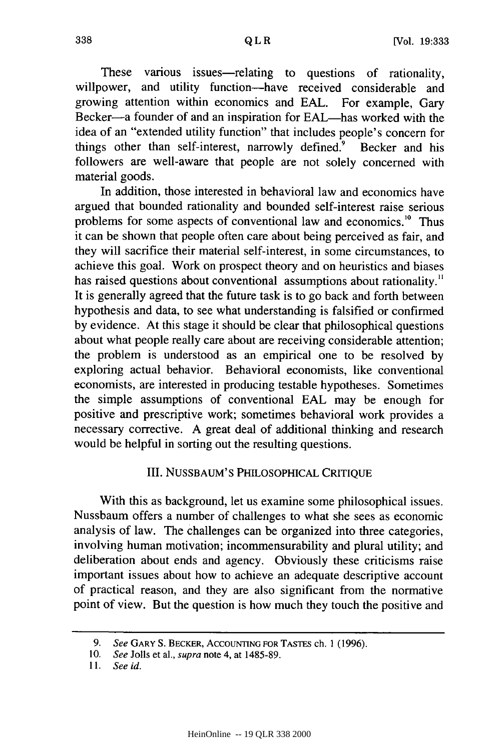These various issues—relating to questions of rationality, willpower, and utility function-have received considerable and growing attention within economics and EAL. For example, Gary Becker-a founder of and an inspiration for EAL-has worked with the idea of an "extended utility function" that includes people's concern for things other than self-interest, narrowly defined.<sup>9</sup> Becker and his followers are well-aware that people are not solely concerned with material goods.

In addition, those interested in behavioral law and economics have argued that bounded rationality and bounded self-interest raise serious problems for some aspects of conventional law and economics.<sup>10</sup> Thus it can be shown that people often care about being perceived as fair, and they will sacrifice their material self-interest, in some circumstances, to achieve this goal. Work on prospect theory and on heuristics and biases has raised questions about conventional assumptions about rationality." It is generally agreed that the future task is to go back and forth between hypothesis and data, to see what understanding is falsified or confirmed by evidence. At this stage it should be clear that philosophical questions about what people really care about are receiving considerable attention; the problem is understood as an empirical one to be resolved by exploring actual behavior. Behavioral economists, like conventional economists, are interested in producing testable hypotheses. Sometimes the simple assumptions of conventional EAL may be enough for positive and prescriptive work; sometimes behavioral work provides a necessary corrective. A great deal of additional thinking and research would be helpful in sorting out the resulting questions.

#### III. NUSSBAUM'S PHILOSOPHICAL CRITIQUE

With this as background, let us examine some philosophical issues. Nussbaum offers a number of challenges to what she sees as economic analysis of law. The challenges can be organized into three categories, involving human motivation; incommensurability and plural utility; and deliberation about ends and agency. Obviously these criticisms raise important issues about how to achieve an adequate descriptive account of practical reason, and they are also significant from the normative point of view. But the question is how much they touch the positive and

*<sup>9.</sup> See* GARY S. BECKER, **ACCOUNTING** FOR TASTES ch. 1 (1996).

<sup>10.</sup> *See* Jolls et al., *supra* note 4, at 1485-89.

*<sup>11.</sup> See id.*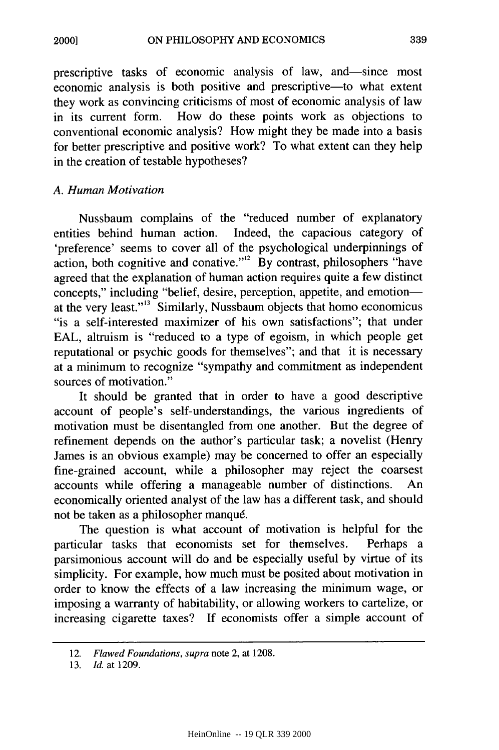prescriptive tasks of economic analysis of law, and-since most economic analysis is both positive and prescriptive-to what extent they work as convincing criticisms of most of economic analysis of law in its current form. How do these points work as objections to conventional economic analysis? How might they be made into a basis for better prescriptive and positive work? To what extent can they help in the creation of testable hypotheses?

## *A. Human Motivation*

Nussbaum complains of the "reduced number of explanatory entities behind human action. Indeed, the capacious category of 'preference' seems to cover all of the psychological underpinnings of action, both cognitive and conative."<sup>12</sup> By contrast, philosophers "have agreed that the explanation of human action requires quite a few distinct concepts," including "belief, desire, perception, appetite, and emotionat the very least."'' 3 Similarly, Nussbaum objects that homo economicus "is a self-interested maximizer of his own satisfactions"; that under EAL, altruism is "reduced to a type of egoism, in which people get reputational or psychic goods for themselves"; and that it is necessary at a minimum to recognize "sympathy and commitment as independent sources of motivation."

It should be granted that in order to have a good descriptive account of people's self-understandings, the various ingredients of motivation must be disentangled from one another. But the degree of refinement depends on the author's particular task; a novelist (Henry James is an obvious example) may be concerned to offer an especially fine-grained account, while a philosopher may reject the coarsest accounts while offering a manageable number of distinctions. An economically oriented analyst of the law has a different task, and should not be taken as a philosopher manqu6.

The question is what account of motivation is helpful for the particular tasks that economists set for themselves. Perhaps a parsimonious account will do and be especially useful by virtue of its simplicity. For example, how much must be posited about motivation in order to know the effects of a law increasing the minimum wage, or imposing a warranty of habitability, or allowing workers to cartelize, or increasing cigarette taxes? If economists offer a simple account of

<sup>12.</sup> *Flawed Foundations, supra* note 2, at 1208.

<sup>13.</sup> *Id.* at 1209.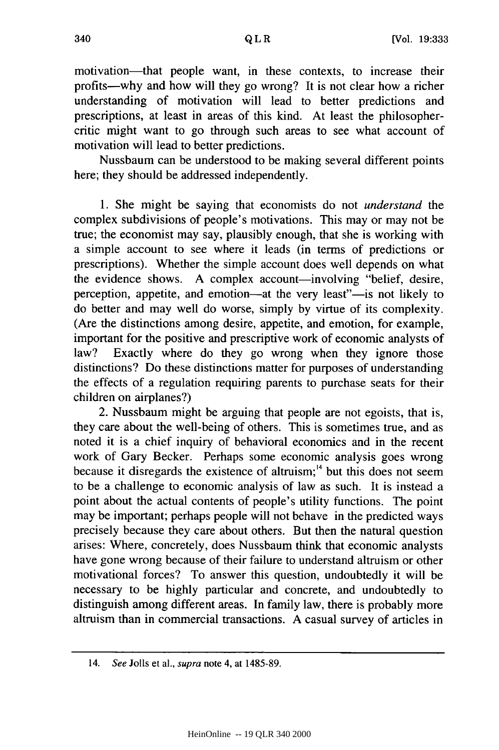motivation-that people want, in these contexts, to increase their profits-why and how will they go wrong? It is not clear how a richer understanding of motivation will lead to better predictions and prescriptions, at least in areas of this kind. At least the philosophercritic might want to go through such areas to see what account of motivation will lead to better predictions.

Nussbaum can be understood to be making several different points here; they should be addressed independently.

1. She might be saying that economists do not *understand the* complex subdivisions of people's motivations. This may or may not be true; the economist may say, plausibly enough, that she is working with a simple account to see where it leads (in terms of predictions or prescriptions). Whether the simple account does well depends on what the evidence shows. A complex account—involving "belief, desire, perception, appetite, and emotion—at the very least"—is not likely to do better and may well do worse, simply by virtue of its complexity. (Are the distinctions among desire, appetite, and emotion, for example, important for the positive and prescriptive work of economic analysts of law? Exactly where do they go wrong when they ignore those distinctions? Do these distinctions matter for purposes of understanding the effects of a regulation requiring parents to purchase seats for their children on airplanes?)

2. Nussbaum might be arguing that people are not egoists, that is, they care about the well-being of others. This is sometimes true, and as noted it is a chief inquiry of behavioral economics and in the recent work of Gary Becker. Perhaps some economic analysis goes wrong because it disregards the existence of altruism; $4$  but this does not seem to be a challenge to economic analysis of law as such. It is instead a point about the actual contents of people's utility functions. The point may be important; perhaps people will not behave in the predicted ways precisely because they care about others. But then the natural question arises: Where, concretely, does Nussbaum think that economic analysts have gone wrong because of their failure to understand altruism or other motivational forces? To answer this question, undoubtedly it will be necessary to be highly particular and concrete, and undoubtedly to distinguish among different areas. In family law, there is probably more altruism than in commercial transactions. A casual survey of articles in

<sup>14.</sup> *See* Jolls et al., *supra* note 4, at 1485-89.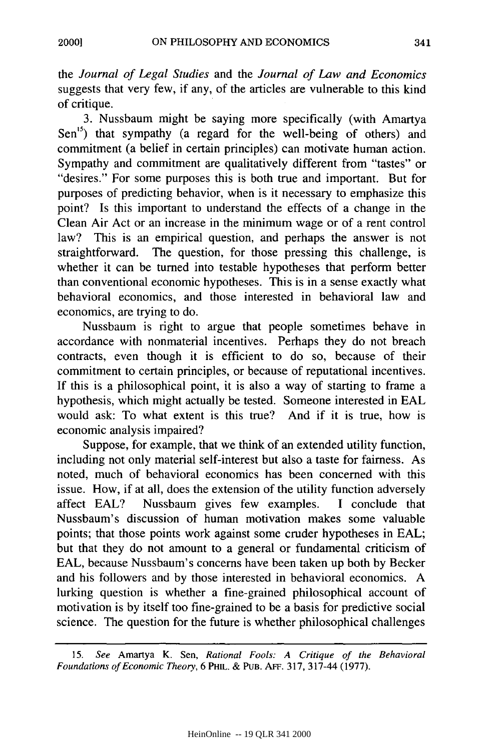*the Journal of Legal Studies* and the *Journal of Law and Economics* suggests that very few, if any, of the articles are vulnerable to this kind of critique.

3. Nussbaum might be saying more specifically (with Amartya  $Sen^{15}$ ) that sympathy (a regard for the well-being of others) and commitment (a belief in certain principles) can motivate human action. Sympathy and commitment are qualitatively different from "tastes" or "desires." For some purposes this is both true and important. But for purposes of predicting behavior, when is it necessary to emphasize this point? Is this important to understand the effects of a change in the Clean Air Act or an increase in the minimum wage or of a rent control law? This is an empirical question, and perhaps the answer is not straightforward. The question, for those pressing this challenge, is whether it can be turned into testable hypotheses that perform better than conventional economic hypotheses. This is in a sense exactly what behavioral economics, and those interested in behavioral law and economics, are trying to do.

Nussbaum is right to argue that people sometimes behave in accordance with nonmaterial incentives. Perhaps they do not breach contracts, even though it is efficient to do so, because of their commitment to certain principles, or because of reputational incentives. If this is a philosophical point, it is also a way of starting to frame a hypothesis, which might actually be tested. Someone interested in EAL would ask: To what extent is this true? And if it is true, how is economic analysis impaired?

Suppose, for example, that we think of an extended utility function, including not only material self-interest but also a taste for fairness. As noted, much of behavioral economics has been concerned with this issue. How, if at all, does the extension of the utility function adversely affect EAL? Nussbaum gives few examples. I conclude that Nussbaum's discussion of human motivation makes some valuable points; that those points work against some cruder hypotheses in EAL; but that they do not amount to a general or fundamental criticism of EAL, because Nussbaum's concerns have been taken up both by Becker and his followers and by those interested in behavioral economics. A lurking question is whether a fine-grained philosophical account of motivation is by itself too fine-grained to be a basis for predictive social science. The question for the future is whether philosophical challenges

<sup>15.</sup> *See* Amartya K. Sen, *Rational Fools: A Critique of the Behavioral Foundations of Economic Theory, 6 PHIL. & PUB. AFF. 317, 317-44 (1977).*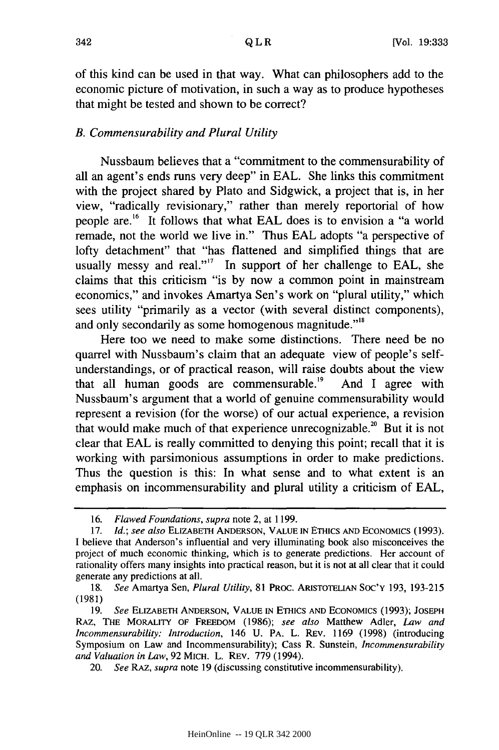of this kind can be used in that way. What can philosophers add to the economic picture of motivation, in such a way as to produce hypotheses that might be tested and shown to be correct?

## *B. Commensurability and Plural Utility*

Nussbaum believes that a "commitment to the commensurability of all an agent's ends runs very deep" in EAL. She links this commitment with the project shared by Plato and Sidgwick, a project that is, in her view, "radically revisionary," rather than merely reportorial of how people are. 16 It follows that what EAL does is to envision a "a world remade, not the world we live in." Thus EAL adopts "a perspective of lofty detachment" that "has flattened and simplified things that are usually messy and real."<sup>17</sup> In support of her challenge to EAL, she claims that this criticism "is by now a common point in mainstream economics," and invokes Amartya Sen's work on "plural utility," which sees utility "primarily as a vector (with several distinct components), and only secondarily as some homogenous magnitude."<sup>18</sup>

Here too we need to make some distinctions. There need be no quarrel with Nussbaum's claim that an adequate view of people's selfunderstandings, or of practical reason, will raise doubts about the view that all human goods are commensurable.<sup>19</sup> And I agree with Nussbaum's argument that a world of genuine commensurability would represent a revision (for the worse) of our actual experience, a revision that would make much of that experience unrecognizable.<sup>20</sup> But it is not clear that EAL is really committed to denying this point; recall that it is working with parsimonious assumptions in order to make predictions. Thus the question is this: In what sense and to what extent is an emphasis on incommensurability and plural utility a criticism of EAL,

<sup>16.</sup> *Flawed Foundations, supra* note 2, at 1199.

<sup>17.</sup> *Id.; see also* ELIZABETH ANDERSON, VALUE IN ETHICS AND ECONOMICS (1993). I believe that Anderson's influential and very illuminating book also misconceives the project of much economic thinking, which is to generate predictions. Her account of rationality offers many insights into practical reason, but it is not at all clear that it could generate any predictions at all.

<sup>18.</sup> *See* Amartya Sen, *Plural Utility,* 81 PROC. ARISTOTELIAN **SOC'Y** 193, 193-215 (1981)

<sup>19.</sup> *See* ELIZABETH ANDERSON, VALUE IN ETHICS AND ECONOMICS (1993); JOSEPH RAz, THE MORALITY OF FREEDOM (1986); *see also* Matthew Adler, *Law and Incommensurability: Introduction,* 146 U. PA. L. REv. 1169 (1998) (introducing Symposium on Law and Incommensurability); Cass R. Sunstein, *Incommensurability and Valuation in Law,* 92 MICH. L. REv. 779 (1994).

<sup>20.</sup> *See RAz, supra* note 19 (discussing constitutive incommensurability).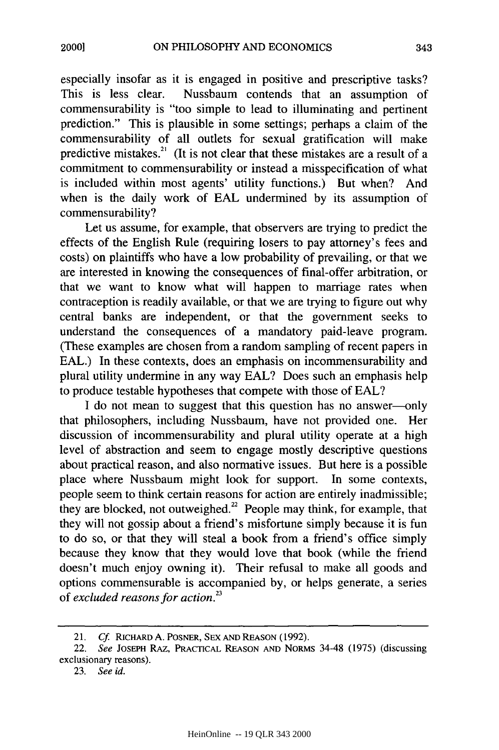especially insofar as it is engaged in positive and prescriptive tasks? This is less clear. Nussbaum contends that an assumption of commensurability is "too simple to lead to illuminating and pertinent prediction." This is plausible in some settings; perhaps a claim of the commensurability of all outlets for sexual gratification will make predictive mistakes.<sup>21</sup> (It is not clear that these mistakes are a result of a commitment to commensurability or instead a misspecification of what is included within most agents' utility functions.) But when? And when is the daily work of EAL undermined by its assumption of commensurability?

Let us assume, for example, that observers are trying to predict the effects of the English Rule (requiring losers to pay attorney's fees and costs) on plaintiffs who have a low probability of prevailing, or that we are interested in knowing the consequences of final-offer arbitration, or that we want to know what will happen to marriage rates when contraception is readily available, or that we are trying to figure out why central banks are independent, or that the government seeks to understand the consequences of a mandatory paid-leave program. (These examples are chosen from a random sampling of recent papers in EAL.) In these contexts, does an emphasis on incommensurability and plural utility undermine in any way EAL? Does such an emphasis help to produce testable hypotheses that compete with those of EAL?

I do not mean to suggest that this question has no answer-only that philosophers, including Nussbaum, have not provided one. Her discussion of incommensurability and plural utility operate at a high level of abstraction and seem to engage mostly descriptive questions about practical reason, and also normative issues. But here is a possible place where Nussbaum might look for support. In some contexts, people seem to think certain reasons for action are entirely inadmissible; they are blocked, not outweighed.<sup>22</sup> People may think, for example, that they will not gossip about a friend's misfortune simply because it is fun to do so, or that they will steal a book from a friend's office simply because they know that they would love that book (while the friend doesn't much enjoy owning it). Their refusal to make all goods and options commensurable is accompanied by, or helps generate, a series of *excluded reasons for action.23*

<sup>21.</sup> **Cf.** RICHARD A. POSNER, SEX AND REASON (1992).

<sup>22.</sup> See JOSEPH RAZ, PRACTICAL REASON AND NORMs 34-48 (1975) (discussing exclusionary reasons).

<sup>23.</sup> See id.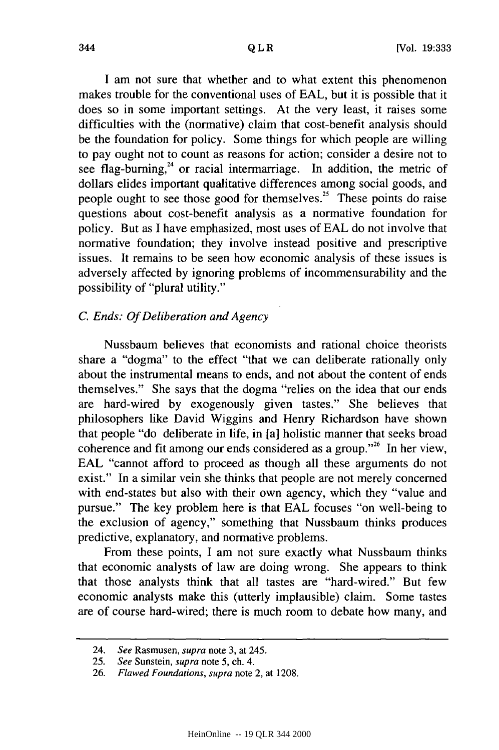I am not sure that whether and to what extent this phenomenon makes trouble for the conventional uses of EAL, but it is possible that it does so in some important settings. At the very least, it raises some difficulties with the (normative) claim that cost-benefit analysis should be the foundation for policy. Some things for which people are willing to pay ought not to count as reasons for action; consider a desire not to see flag-burning, $24$  or racial intermarriage. In addition, the metric of dollars elides important qualitative differences among social goods, and people ought to see those good for themselves.<sup>25</sup> These points do raise questions about cost-benefit analysis as a normative foundation for policy. But as I have emphasized, most uses of EAL do not involve that normative foundation; they involve instead positive and prescriptive issues. It remains to be seen how economic analysis of these issues is adversely affected by ignoring problems of incommensurability and the possibility of "plural utility."

## *C. Ends: Of Deliberation and Agency*

Nussbaum believes that economists and rational choice theorists share a "dogma" to the effect "that we can deliberate rationally only about the instrumental means to ends, and not about the content of ends themselves." She says that the dogma "relies on the idea that our ends are hard-wired by exogenously given tastes." She believes that philosophers like David Wiggins and Henry Richardson have shown that people "do deliberate in life, in [a] holistic manner that seeks broad coherence and fit among our ends considered as a group."<sup>26</sup> In her view, EAL "cannot afford to proceed as though all these arguments do not exist." In a similar vein she thinks that people are not merely concerned with end-states but also with their own agency, which they "value and pursue." The key problem here is that EAL focuses "on well-being to the exclusion of agency," something that Nussbaum thinks produces predictive, explanatory, and normative problems.

From these points, I am not sure exactly what Nussbaum thinks that economic analysts of law are doing wrong. She appears to think that those analysts think that all tastes are "hard-wired." But few economic analysts make this (utterly implausible) claim. Some tastes are of course hard-wired; there is much room to debate how many, and

<sup>24.</sup> See Rasmusen, *supra* note 3, at 245.

<sup>25.</sup> See Sunstein, supra note 5, ch. 4.

<sup>26.</sup> *Flawed Foundations, supra* note 2, at 1208.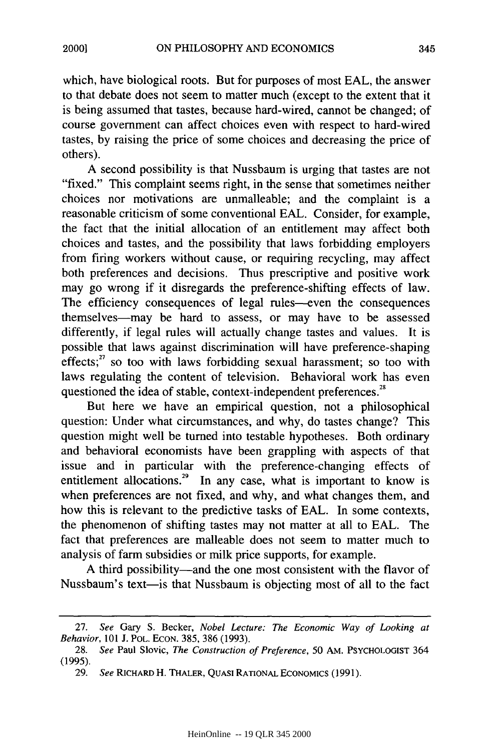which, have biological roots. But for purposes of most EAL, the answer to that debate does not seem to matter much (except to the extent that it is being assumed that tastes, because hard-wired, cannot be changed; of course government can affect choices even with respect to hard-wired tastes, by raising the price of some choices and decreasing the price of others).

A second possibility is that Nussbaum is urging that tastes are not "fixed." This complaint seems right, in the sense that sometimes neither choices nor motivations are unmalleable; and the complaint is a reasonable criticism of some conventional EAL. Consider, for example, the fact that the initial allocation of an entitlement may affect both choices and tastes, and the possibility that laws forbidding employers from firing workers without cause, or requiring recycling, may affect both preferences and decisions. Thus prescriptive and positive work may go wrong if it disregards the preference-shifting effects of law. The efficiency consequences of legal rules-even the consequences themselves-may be hard to assess, or may have to be assessed differently, if legal rules will actually change tastes and values. It is possible that laws against discrimination will have preference-shaping  $effectis$ ;<sup>27</sup> so too with laws forbidding sexual harassment; so too with laws regulating the content of television. Behavioral work has even questioned the idea of stable, context-independent preferences . 2

But here we have an empirical question, not a philosophical question: Under what circumstances, and why, do tastes change? This question might well be turned into testable hypotheses. Both ordinary and behavioral economists have been grappling with aspects of that issue and in particular with the preference-changing effects of entitlement allocations.<sup>29</sup> In any case, what is important to know is when preferences are not fixed, and why, and what changes them, and how this is relevant to the predictive tasks of EAL. In some contexts, the phenomenon of shifting tastes may not matter at all to EAL. The fact that preferences are malleable does not seem to matter much to analysis of farm subsidies or milk price supports, for example.

A third possibility-and the one most consistent with the flavor of Nussbaum's text-is that Nussbaum is objecting most of all to the fact

<sup>27.</sup> *See* Gary S. Becker, *Nobel Lecture: The Economic Way of Looking at Behavior,* 101 J. POL. EcON. 385, 386 (1993).

<sup>28.</sup> *See* Paul Slovic, *The Construction of Preference,* 50 AM. **PSYCHOLOGIST** 364 (1995).

<sup>29.</sup> *See* RICHARD H. THALER, **QUASI** RATIONAL ECONOMICS (1991).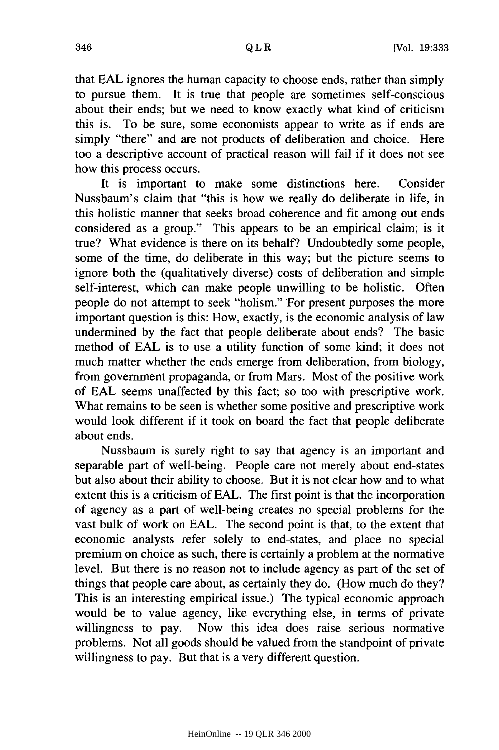that EAL ignores the human capacity to choose ends, rather than simply to pursue them. It is true that people are sometimes self-conscious about their ends; but we need to know exactly what kind of criticism this is. To be sure, some economists appear to write as if ends are simply "there" and are not products of deliberation and choice. Here too a descriptive account of practical reason will fail if it does not see how this process occurs.

It is important to make some distinctions here. Consider Nussbaum's claim that "this is how we really do deliberate in life, in this holistic manner that seeks broad coherence and fit among out ends considered as a group." This appears to be an empirical claim; is it true? What evidence is there on its behalf? Undoubtedly some people, some of the time, do deliberate in this way; but the picture seems to ignore both the (qualitatively diverse) costs of deliberation and simple self-interest, which can make people unwilling to be holistic. Often people do not attempt to seek "holism." For present purposes the more important question is this: How, exactly, is the economic analysis of law undermined by the fact that people deliberate about ends? The basic method of EAL is to use a utility function of some kind; it does not much matter whether the ends emerge from deliberation, from biology, from government propaganda, or from Mars. Most of the positive work of EAL seems unaffected by this fact; so too with prescriptive work. What remains to be seen is whether some positive and prescriptive work would look different if it took on board the fact that people deliberate about ends.

Nussbaum is surely right to say that agency is an important and separable part of well-being. People care not merely about end-states but also about their ability to choose. But it is not clear how and to what extent this is a criticism of EAL. The first point is that the incorporation of agency as a part of well-being creates no special problems for the vast bulk of work on EAL. The second point is that, to the extent that economic analysts refer solely to end-states, and place no special premium on choice as such, there is certainly a problem at the normative level. But there is no reason not to include agency as part of the set of things that people care about, as certainly they do. (How much do they? This is an interesting empirical issue.) The typical economic approach would be to value agency, like everything else, in terms of private willingness to pay. Now this idea does raise serious normative problems. Not all goods should be valued from the standpoint of private willingness to pay. But that is a very different question.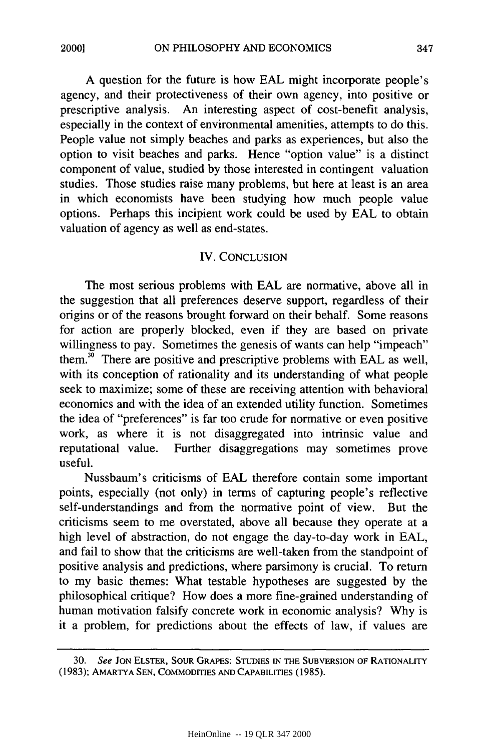A question for the future is how EAL might incorporate people's agency, and their protectiveness of their own agency, into positive or prescriptive analysis. An interesting aspect of cost-benefit analysis, especially in the context of environmental amenities, attempts to do this. People value not simply beaches and parks as experiences, but also the option to visit beaches and parks. Hence "option value" is a distinct component of value, studied by those interested in contingent valuation studies. Those studies raise many problems, but here at least is an area in which economists have been studying how much people value options. Perhaps this incipient work could be used by EAL to obtain valuation of agency as well as end-states.

#### IV. CONCLUSION

The most serious problems with EAL are normative, above all in the suggestion that all preferences deserve support, regardless of their origins or of the reasons brought forward on their behalf. Some reasons for action are properly blocked, even if they are based on private willingness to pay. Sometimes the genesis of wants can help "impeach" them.<sup>30</sup> There are positive and prescriptive problems with EAL as well, with its conception of rationality and its understanding of what people seek to maximize; some of these are receiving attention with behavioral economics and with the idea of an extended utility function. Sometimes the idea of "preferences" is far too crude for normative or even positive work, as where it is not disaggregated into intrinsic value and reputational value. Further disaggregations may sometimes prove useful.

Nussbaum's criticisms of EAL therefore contain some important points, especially (not only) in terms of capturing people's reflective self-understandings and from the normative point of view. But the criticisms seem to me overstated, above all because they operate at a high level of abstraction, do not engage the day-to-day work in EAL, and fail to show that the criticisms are well-taken from the standpoint of positive analysis and predictions, where parsimony is crucial. To return to my basic themes: What testable hypotheses are suggested by the philosophical critique? How does a more fine-grained understanding of human motivation falsify concrete work in economic analysis? Why is it a problem, for predictions about the effects of law, if values are

<sup>30.</sup> See **JON** ELSTER, **SOUR** GRAPES: **STUDIES IN** THE **SUBVERSION** OF RATIONALITY (1983); AMARTYA **SEN, COMMODITIES AND** CAPABILITIES (1985).